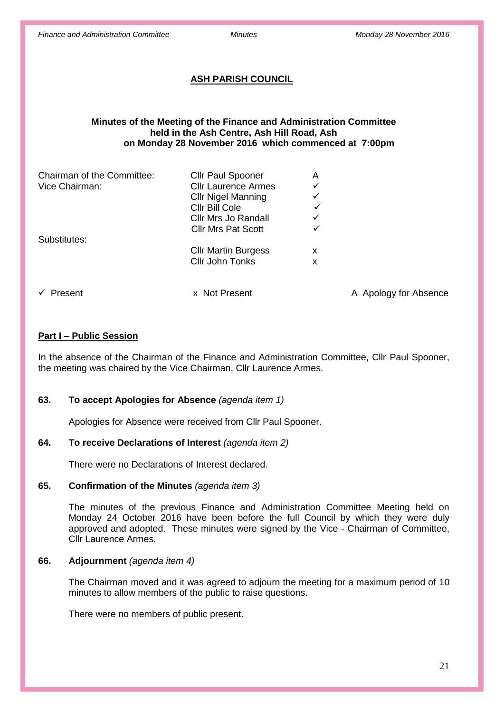# **ASH PARISH COUNCIL**

### **Minutes of the Meeting of the Finance and Administration Committee held in the Ash Centre, Ash Hill Road, Ash on Monday 28 November 2016 which commenced at 7:00pm**

| Chairman of the Committee: | Cllr Paul Spooner          | A            |                       |
|----------------------------|----------------------------|--------------|-----------------------|
| Vice Chairman:             | <b>Cllr Laurence Armes</b> | $\checkmark$ |                       |
|                            | <b>CIIr Nigel Manning</b>  | ✓            |                       |
|                            | Cllr Bill Cole             | ✓            |                       |
|                            | Cllr Mrs Jo Randall        | ✓            |                       |
|                            | <b>CIIr Mrs Pat Scott</b>  | ✓            |                       |
| Substitutes:               |                            |              |                       |
|                            | <b>Cllr Martin Burgess</b> | x            |                       |
|                            | Cllr John Tonks            | х            |                       |
|                            |                            |              |                       |
| Present                    | x Not Present              |              | A Apology for Absence |

# **Part I – Public Session**

In the absence of the Chairman of the Finance and Administration Committee, Cllr Paul Spooner, the meeting was chaired by the Vice Chairman, Cllr Laurence Armes.

# **63. To accept Apologies for Absence** *(agenda item 1)*

Apologies for Absence were received from Cllr Paul Spooner.

#### **64. To receive Declarations of Interest** *(agenda item 2)*

There were no Declarations of Interest declared.

#### **65. Confirmation of the Minutes** *(agenda item 3)*

The minutes of the previous Finance and Administration Committee Meeting held on Monday 24 October 2016 have been before the full Council by which they were duly approved and adopted. These minutes were signed by the Vice - Chairman of Committee, Cllr Laurence Armes.

#### **66. Adjournment** *(agenda item 4)*

The Chairman moved and it was agreed to adjourn the meeting for a maximum period of 10 minutes to allow members of the public to raise questions.

There were no members of public present.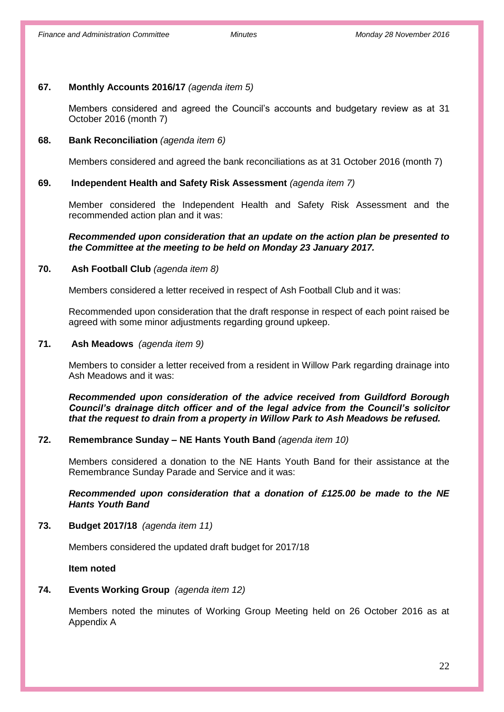# **67. Monthly Accounts 2016/17** *(agenda item 5)*

Members considered and agreed the Council's accounts and budgetary review as at 31 October 2016 (month 7)

#### **68. Bank Reconciliation** *(agenda item 6)*

Members considered and agreed the bank reconciliations as at 31 October 2016 (month 7)

## **69. Independent Health and Safety Risk Assessment** *(agenda item 7)*

Member considered the Independent Health and Safety Risk Assessment and the recommended action plan and it was:

#### *Recommended upon consideration that an update on the action plan be presented to the Committee at the meeting to be held on Monday 23 January 2017.*

# **70. Ash Football Club** *(agenda item 8)*

Members considered a letter received in respect of Ash Football Club and it was:

Recommended upon consideration that the draft response in respect of each point raised be agreed with some minor adjustments regarding ground upkeep.

#### **71. Ash Meadows** *(agenda item 9)*

Members to consider a letter received from a resident in Willow Park regarding drainage into Ash Meadows and it was:

*Recommended upon consideration of the advice received from Guildford Borough Council's drainage ditch officer and of the legal advice from the Council's solicitor that the request to drain from a property in Willow Park to Ash Meadows be refused.*

# **72. Remembrance Sunday – NE Hants Youth Band** *(agenda item 10)*

Members considered a donation to the NE Hants Youth Band for their assistance at the Remembrance Sunday Parade and Service and it was:

*Recommended upon consideration that a donation of £125.00 be made to the NE Hants Youth Band* 

**73. Budget 2017/18** *(agenda item 11)*

Members considered the updated draft budget for 2017/18

**Item noted**

### **74. Events Working Group** *(agenda item 12)*

Members noted the minutes of Working Group Meeting held on 26 October 2016 as at Appendix A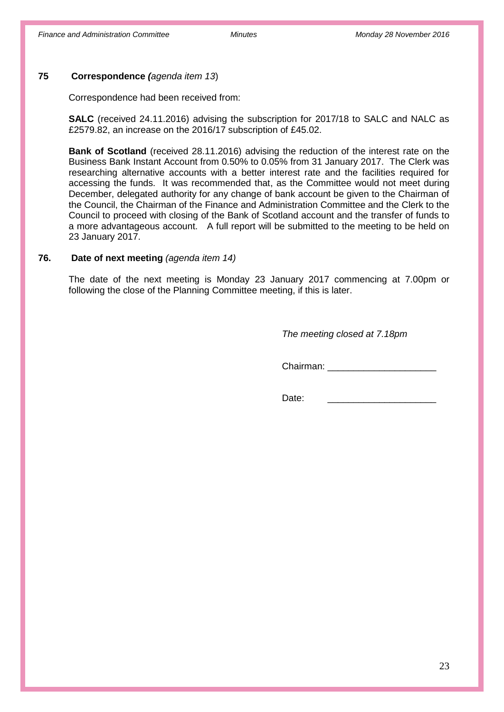# **75 Correspondence** *(agenda item 13*)

Correspondence had been received from:

**SALC** (received 24.11.2016) advising the subscription for 2017/18 to SALC and NALC as £2579.82, an increase on the 2016/17 subscription of £45.02.

**Bank of Scotland** (received 28.11.2016) advising the reduction of the interest rate on the Business Bank Instant Account from 0.50% to 0.05% from 31 January 2017. The Clerk was researching alternative accounts with a better interest rate and the facilities required for accessing the funds. It was recommended that, as the Committee would not meet during December, delegated authority for any change of bank account be given to the Chairman of the Council, the Chairman of the Finance and Administration Committee and the Clerk to the Council to proceed with closing of the Bank of Scotland account and the transfer of funds to a more advantageous account. A full report will be submitted to the meeting to be held on 23 January 2017.

### **76. Date of next meeting** *(agenda item 14)*

The date of the next meeting is Monday 23 January 2017 commencing at 7.00pm or following the close of the Planning Committee meeting, if this is later.

*The meeting closed at 7.18pm*

Chairman:

Date: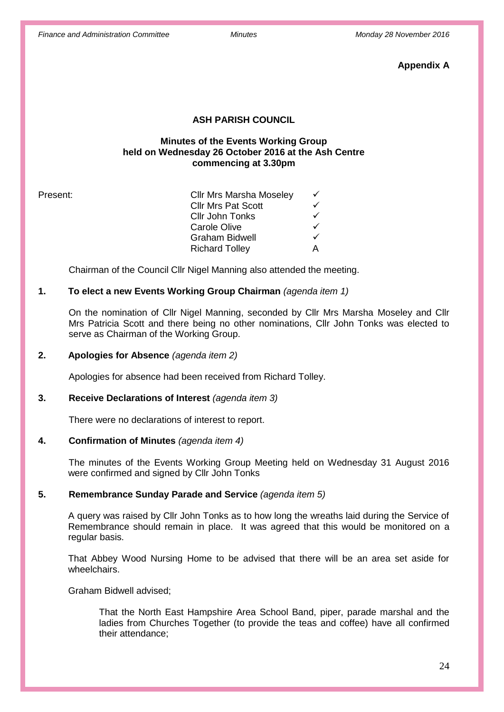**Appendix A**

# **ASH PARISH COUNCIL**

# **Minutes of the Events Working Group held on Wednesday 26 October 2016 at the Ash Centre commencing at 3.30pm**

| Present: | <b>Cllr Mrs Marsha Moseley</b> |  |
|----------|--------------------------------|--|
|          | <b>Cllr Mrs Pat Scott</b>      |  |
|          | Cllr John Tonks                |  |
|          | <b>Carole Olive</b>            |  |
|          | <b>Graham Bidwell</b>          |  |
|          | <b>Richard Tolley</b>          |  |
|          |                                |  |

Chairman of the Council Cllr Nigel Manning also attended the meeting.

# **1. To elect a new Events Working Group Chairman** *(agenda item 1)*

On the nomination of Cllr Nigel Manning, seconded by Cllr Mrs Marsha Moseley and Cllr Mrs Patricia Scott and there being no other nominations, Cllr John Tonks was elected to serve as Chairman of the Working Group.

#### **2. Apologies for Absence** *(agenda item 2)*

Apologies for absence had been received from Richard Tolley.

#### **3. Receive Declarations of Interest** *(agenda item 3)*

There were no declarations of interest to report.

#### **4. Confirmation of Minutes** *(agenda item 4)*

The minutes of the Events Working Group Meeting held on Wednesday 31 August 2016 were confirmed and signed by Cllr John Tonks

#### **5. Remembrance Sunday Parade and Service** *(agenda item 5)*

A query was raised by Cllr John Tonks as to how long the wreaths laid during the Service of Remembrance should remain in place. It was agreed that this would be monitored on a regular basis.

That Abbey Wood Nursing Home to be advised that there will be an area set aside for wheelchairs.

Graham Bidwell advised;

That the North East Hampshire Area School Band, piper, parade marshal and the ladies from Churches Together (to provide the teas and coffee) have all confirmed their attendance;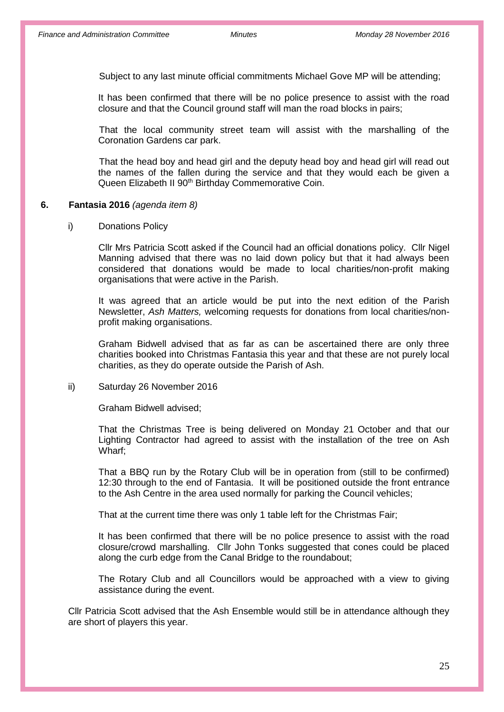Subject to any last minute official commitments Michael Gove MP will be attending;

It has been confirmed that there will be no police presence to assist with the road closure and that the Council ground staff will man the road blocks in pairs;

That the local community street team will assist with the marshalling of the Coronation Gardens car park.

That the head boy and head girl and the deputy head boy and head girl will read out the names of the fallen during the service and that they would each be given a Queen Elizabeth II 90<sup>th</sup> Birthday Commemorative Coin.

#### **6. Fantasia 2016** *(agenda item 8)*

i) Donations Policy

Cllr Mrs Patricia Scott asked if the Council had an official donations policy. Cllr Nigel Manning advised that there was no laid down policy but that it had always been considered that donations would be made to local charities/non-profit making organisations that were active in the Parish.

It was agreed that an article would be put into the next edition of the Parish Newsletter, *Ash Matters,* welcoming requests for donations from local charities/nonprofit making organisations.

Graham Bidwell advised that as far as can be ascertained there are only three charities booked into Christmas Fantasia this year and that these are not purely local charities, as they do operate outside the Parish of Ash.

#### ii) Saturday 26 November 2016

Graham Bidwell advised;

That the Christmas Tree is being delivered on Monday 21 October and that our Lighting Contractor had agreed to assist with the installation of the tree on Ash Wharf;

That a BBQ run by the Rotary Club will be in operation from (still to be confirmed) 12:30 through to the end of Fantasia. It will be positioned outside the front entrance to the Ash Centre in the area used normally for parking the Council vehicles;

That at the current time there was only 1 table left for the Christmas Fair;

It has been confirmed that there will be no police presence to assist with the road closure/crowd marshalling. Cllr John Tonks suggested that cones could be placed along the curb edge from the Canal Bridge to the roundabout;

The Rotary Club and all Councillors would be approached with a view to giving assistance during the event.

Cllr Patricia Scott advised that the Ash Ensemble would still be in attendance although they are short of players this year.